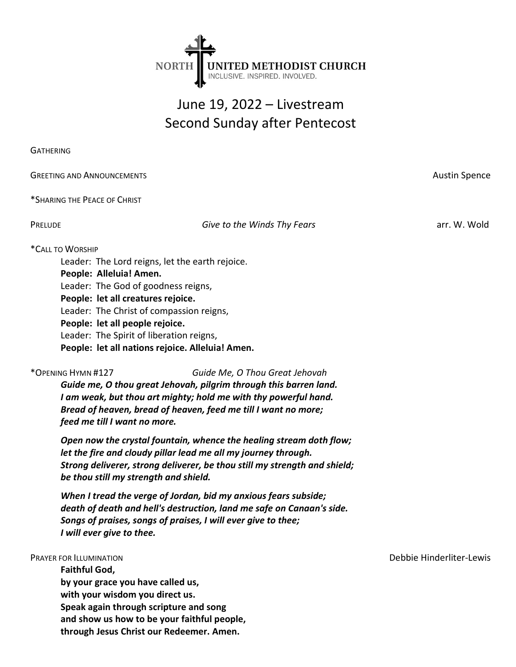

# June 19, 2022 – Livestream Second Sunday after Pentecost

**GATHERING** 

GREETING AND ANNOUNCEMENTS **AUSTRALIA EXECUTE SERVICE SERVICE SCIENCE SERVICE SCIENCE SPENCE SPENCE SPENCE SPENCE** 

\*SHARING THE PEACE OF CHRIST

PRELUDE **Give to the Winds Thy Fears** arr. W. Wold

# \*CALL TO WORSHIP

Leader: The Lord reigns, let the earth rejoice.

People: Alleluia! Amen.

Leader: The God of goodness reigns,

People: let all creatures rejoice.

Leader: The Christ of compassion reigns,

People: let all people rejoice.

Leader: The Spirit of liberation reigns,

People: let all nations rejoice. Alleluia! Amen.

\*OPENING HYMN #127 Guide Me, O Thou Great Jehovah

Guide me, O thou great Jehovah, pilgrim through this barren land. I am weak, but thou art mighty; hold me with thy powerful hand. Bread of heaven, bread of heaven, feed me till I want no more; feed me till I want no more.

Open now the crystal fountain, whence the healing stream doth flow; let the fire and cloudy pillar lead me all my journey through. Strong deliverer, strong deliverer, be thou still my strength and shield; be thou still my strength and shield.

When I tread the verge of Jordan, bid my anxious fears subside; death of death and hell's destruction, land me safe on Canaan's side. Songs of praises, songs of praises, I will ever give to thee; I will ever give to thee.

Faithful God, by your grace you have called us, with your wisdom you direct us. Speak again through scripture and song and show us how to be your faithful people, through Jesus Christ our Redeemer. Amen.

PRAYER FOR ILLUMINATION Debbie Hinderliter-Lewis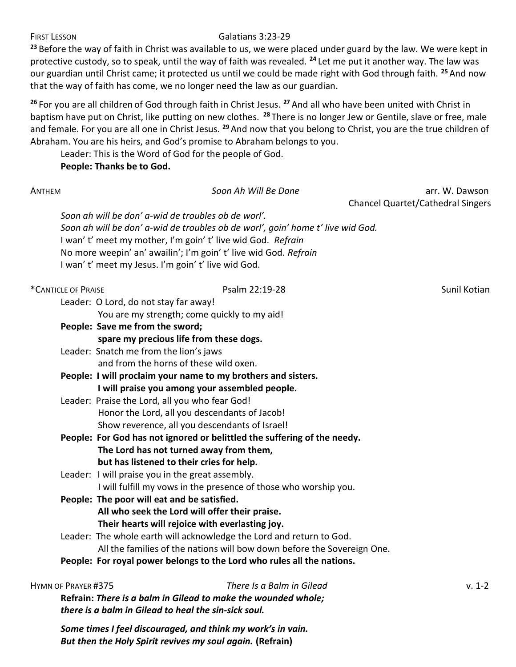## FIRST LESSON Galatians 3:23-29

<sup>23</sup> Before the way of faith in Christ was available to us, we were placed under guard by the law. We were kept in protective custody, so to speak, until the way of faith was revealed. <sup>24</sup> Let me put it another way. The law was our guardian until Christ came; it protected us until we could be made right with God through faith. <sup>25</sup> And now that the way of faith has come, we no longer need the law as our guardian.

<sup>26</sup> For you are all children of God through faith in Christ Jesus. <sup>27</sup> And all who have been united with Christ in baptism have put on Christ, like putting on new clothes. <sup>28</sup> There is no longer Jew or Gentile, slave or free, male and female. For you are all one in Christ Jesus. <sup>29</sup> And now that you belong to Christ, you are the true children of Abraham. You are his heirs, and God's promise to Abraham belongs to you.

Leader: This is the Word of God for the people of God.

People: Thanks be to God.

| ANTHEM                                                        |                                                                  | Soon Ah Will Be Done                                                            | arr. W. Dawson                           |  |  |
|---------------------------------------------------------------|------------------------------------------------------------------|---------------------------------------------------------------------------------|------------------------------------------|--|--|
|                                                               |                                                                  |                                                                                 | <b>Chancel Quartet/Cathedral Singers</b> |  |  |
|                                                               | Soon ah will be don' a-wid de troubles ob de worl'.              |                                                                                 |                                          |  |  |
|                                                               |                                                                  | Soon ah will be don' a-wid de troubles ob de worl', goin' home t' live wid God. |                                          |  |  |
|                                                               | I wan' t' meet my mother, I'm goin' t' live wid God. Refrain     |                                                                                 |                                          |  |  |
|                                                               | No more weepin' an' awailin'; I'm goin' t' live wid God. Refrain |                                                                                 |                                          |  |  |
|                                                               | I wan't' meet my Jesus. I'm goin't' live wid God.                |                                                                                 |                                          |  |  |
| *CANTICLE OF PRAISE                                           |                                                                  | Psalm 22:19-28                                                                  | Sunil Kotian                             |  |  |
|                                                               | Leader: O Lord, do not stay far away!                            |                                                                                 |                                          |  |  |
|                                                               | You are my strength; come quickly to my aid!                     |                                                                                 |                                          |  |  |
|                                                               | People: Save me from the sword;                                  |                                                                                 |                                          |  |  |
|                                                               | spare my precious life from these dogs.                          |                                                                                 |                                          |  |  |
|                                                               | Leader: Snatch me from the lion's jaws                           |                                                                                 |                                          |  |  |
|                                                               | and from the horns of these wild oxen.                           |                                                                                 |                                          |  |  |
| People: I will proclaim your name to my brothers and sisters. |                                                                  |                                                                                 |                                          |  |  |
|                                                               | I will praise you among your assembled people.                   |                                                                                 |                                          |  |  |
|                                                               | Leader: Praise the Lord, all you who fear God!                   |                                                                                 |                                          |  |  |
|                                                               | Honor the Lord, all you descendants of Jacob!                    |                                                                                 |                                          |  |  |
|                                                               | Show reverence, all you descendants of Israel!                   |                                                                                 |                                          |  |  |
|                                                               |                                                                  | People: For God has not ignored or belittled the suffering of the needy.        |                                          |  |  |
|                                                               | The Lord has not turned away from them,                          |                                                                                 |                                          |  |  |
|                                                               | but has listened to their cries for help.                        |                                                                                 |                                          |  |  |
|                                                               | Leader: I will praise you in the great assembly.                 |                                                                                 |                                          |  |  |
|                                                               |                                                                  | I will fulfill my vows in the presence of those who worship you.                |                                          |  |  |
|                                                               | People: The poor will eat and be satisfied.                      |                                                                                 |                                          |  |  |
|                                                               | All who seek the Lord will offer their praise.                   |                                                                                 |                                          |  |  |
|                                                               | Their hearts will rejoice with everlasting joy.                  |                                                                                 |                                          |  |  |
|                                                               |                                                                  | Leader: The whole earth will acknowledge the Lord and return to God.            |                                          |  |  |
|                                                               |                                                                  | All the families of the nations will bow down before the Sovereign One.         |                                          |  |  |
|                                                               |                                                                  | People: For royal power belongs to the Lord who rules all the nations.          |                                          |  |  |
| HYMN OF PRAYER #375                                           |                                                                  | There Is a Balm in Gilead                                                       | $v. 1-2$                                 |  |  |
|                                                               | Refrain: There is a balm in Gilead to make the wounded whole;    |                                                                                 |                                          |  |  |
|                                                               | there is a balm in Gilead to heal the sin-sick soul.             |                                                                                 |                                          |  |  |

Some times I feel discouraged, and think my work's in vain. But then the Holy Spirit revives my soul again. (Refrain)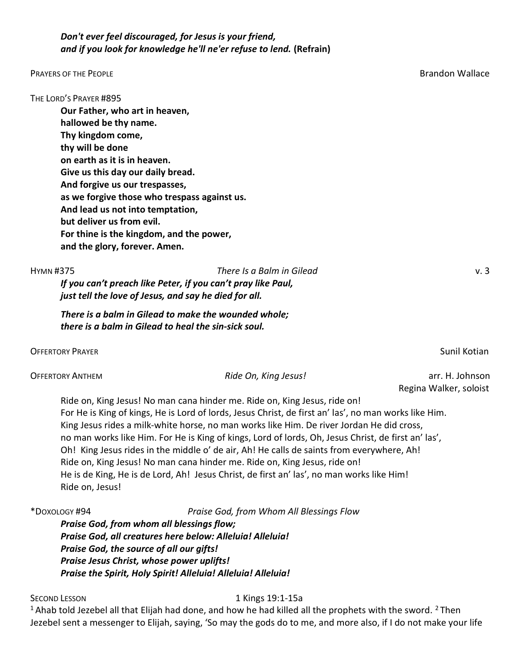# Don't ever feel discouraged, for Jesus is your friend, and if you look for knowledge he'll ne'er refuse to lend. (Refrain)

### PRAYERS OF THE PEOPLE BRAND CONTROL CONTROL CONTROL CONTROL CONTROL CONTROL CONTROL CONTROL CONTROL CONTROL CONTROL CONTROL CONTROL CONTROL CONTROL CONTROL CONTROL CONTROL CONTROL CONTROL CONTROL CONTROL CONTROL CONTROL CO

THE LORD'S PRAYER #895 Our Father, who art in heaven, hallowed be thy name. Thy kingdom come, thy will be done on earth as it is in heaven. Give us this day our daily bread. And forgive us our trespasses, as we forgive those who trespass against us. And lead us not into temptation, but deliver us from evil. For thine is the kingdom, and the power, and the glory, forever. Amen.

# HYMN #375 There Is a Balm in Gilead v. 3

If you can't preach like Peter, if you can't pray like Paul, just tell the love of Jesus, and say he died for all.

There is a balm in Gilead to make the wounded whole; there is a balm in Gilead to heal the sin-sick soul.

OFFERTORY PRAYER SUNIL KOTIAN AND THE SUNIT CONTROL OF THE SUNIL KOTIAN SUNIL KOTIAN SUNIL KOTIAN SUNIL KOTIAN

| <b>OFFERTORY ANTHEM</b> | Ride On, King Jesus! | arr. H. Johnson |
|-------------------------|----------------------|-----------------|
|-------------------------|----------------------|-----------------|

Ride on, King Jesus! No man cana hinder me. Ride on, King Jesus, ride on! For He is King of kings, He is Lord of lords, Jesus Christ, de first an' las', no man works like Him. King Jesus rides a milk-white horse, no man works like Him. De river Jordan He did cross, no man works like Him. For He is King of kings, Lord of lords, Oh, Jesus Christ, de first an' las', Oh! King Jesus rides in the middle o' de air, Ah! He calls de saints from everywhere, Ah! Ride on, King Jesus! No man cana hinder me. Ride on, King Jesus, ride on! He is de King, He is de Lord, Ah! Jesus Christ, de first an' las', no man works like Him! Ride on, Jesus!

\*DOXOLOGY #94 Praise God, from Whom All Blessings Flow Praise God, from whom all blessings flow; Praise God, all creatures here below: Alleluia! Alleluia! Praise God, the source of all our gifts! Praise Jesus Christ, whose power uplifts! Praise the Spirit, Holy Spirit! Alleluia! Alleluia! Alleluia!

### SECOND LESSON 1 Kings 19:1-15a

<sup>1</sup> Ahab told Jezebel all that Elijah had done, and how he had killed all the prophets with the sword. <sup>2</sup> Then Jezebel sent a messenger to Elijah, saying, 'So may the gods do to me, and more also, if I do not make your life

Regina Walker, soloist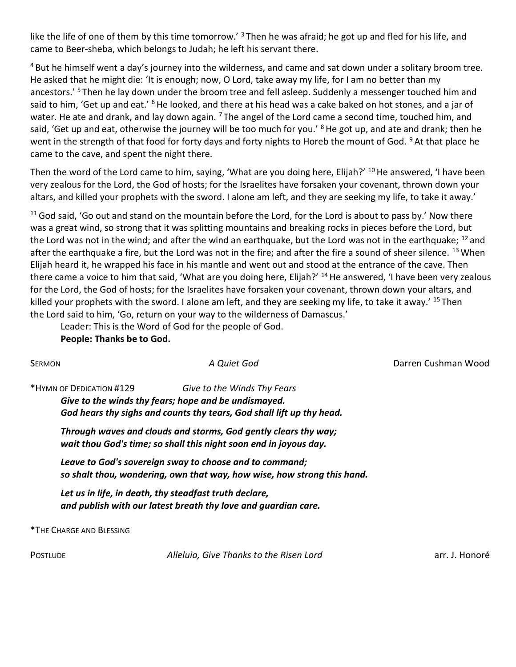like the life of one of them by this time tomorrow.' <sup>3</sup> Then he was afraid; he got up and fled for his life, and came to Beer-sheba, which belongs to Judah; he left his servant there.

<sup>4</sup> But he himself went a day's journey into the wilderness, and came and sat down under a solitary broom tree. He asked that he might die: 'It is enough; now, O Lord, take away my life, for I am no better than my ancestors.' <sup>5</sup> Then he lay down under the broom tree and fell asleep. Suddenly a messenger touched him and said to him, 'Get up and eat.' <sup>6</sup> He looked, and there at his head was a cake baked on hot stones, and a jar of water. He ate and drank, and lay down again.  $7$  The angel of the Lord came a second time, touched him, and said, 'Get up and eat, otherwise the journey will be too much for you.' <sup>8</sup> He got up, and ate and drank; then he went in the strength of that food for forty days and forty nights to Horeb the mount of God. <sup>9</sup> At that place he came to the cave, and spent the night there.

Then the word of the Lord came to him, saying, 'What are you doing here, Elijah?' <sup>10</sup>He answered, 'I have been very zealous for the Lord, the God of hosts; for the Israelites have forsaken your covenant, thrown down your altars, and killed your prophets with the sword. I alone am left, and they are seeking my life, to take it away.'

 $11$  God said, 'Go out and stand on the mountain before the Lord, for the Lord is about to pass by.' Now there was a great wind, so strong that it was splitting mountains and breaking rocks in pieces before the Lord, but the Lord was not in the wind; and after the wind an earthquake, but the Lord was not in the earthquake; <sup>12</sup> and after the earthquake a fire, but the Lord was not in the fire; and after the fire a sound of sheer silence. <sup>13</sup> When Elijah heard it, he wrapped his face in his mantle and went out and stood at the entrance of the cave. Then there came a voice to him that said, 'What are you doing here, Elijah?' <sup>14</sup> He answered, 'I have been very zealous for the Lord, the God of hosts; for the Israelites have forsaken your covenant, thrown down your altars, and killed your prophets with the sword. I alone am left, and they are seeking my life, to take it away.' <sup>15</sup> Then the Lord said to him, 'Go, return on your way to the wilderness of Damascus.'

Leader: This is the Word of God for the people of God.

People: Thanks be to God.

| <b>SERMON</b>                                                                                                            | A Quiet God                                                                                                                                                  | Darren Cushman Wood |  |  |
|--------------------------------------------------------------------------------------------------------------------------|--------------------------------------------------------------------------------------------------------------------------------------------------------------|---------------------|--|--|
| *HYMN OF DEDICATION #129                                                                                                 | Give to the Winds Thy Fears<br>Give to the winds thy fears; hope and be undismayed.<br>God hears thy sighs and counts thy tears, God shall lift up thy head. |                     |  |  |
|                                                                                                                          | Through waves and clouds and storms, God gently clears thy way;<br>wait thou God's time; so shall this night soon end in joyous day.                         |                     |  |  |
|                                                                                                                          | Leave to God's sovereign sway to choose and to command;<br>so shalt thou, wondering, own that way, how wise, how strong this hand.                           |                     |  |  |
| Let us in life, in death, thy steadfast truth declare,<br>and publish with our latest breath thy love and guardian care. |                                                                                                                                                              |                     |  |  |
| *THE CHARGE AND BLESSING                                                                                                 |                                                                                                                                                              |                     |  |  |
| <b>POSTLUDE</b>                                                                                                          | Alleluia, Give Thanks to the Risen Lord                                                                                                                      | arr. J. Honoré      |  |  |